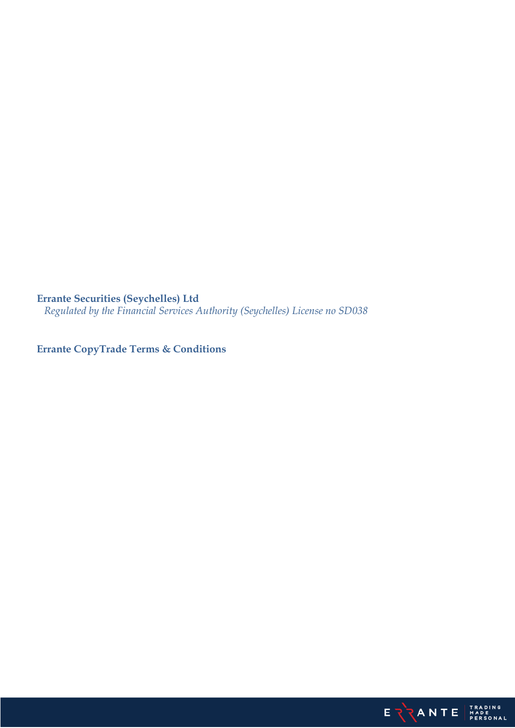**Errante Securities (Seychelles) Ltd**

*Regulated by the Financial Services Authority (Seychelles) License no SD038*

**Errante CopyTrade Terms & Conditions**

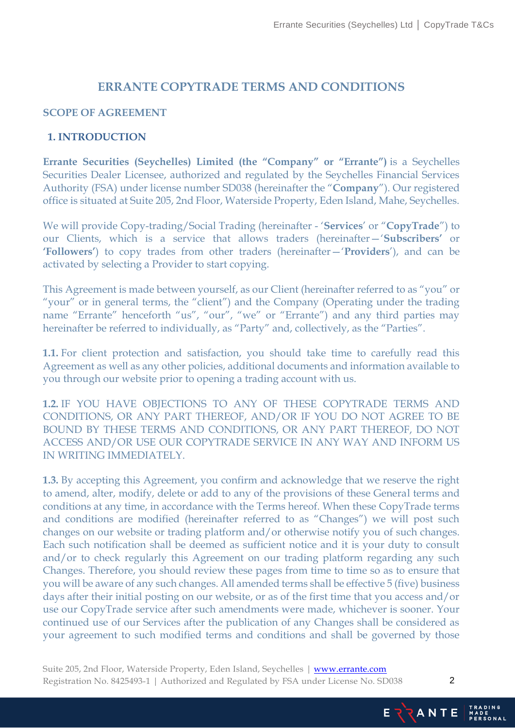# **ERRANTE COPYTRADE TERMS AND CONDITIONS**

#### **SCOPE OF AGREEMENT**

#### **1. INTRODUCTION**

**Errante Securities (Seychelles) Limited (the "Company" or "Errante")** is a Seychelles Securities Dealer Licensee, authorized and regulated by the Seychelles Financial Services Authority (FSA) under license number SD038 (hereinafter the "**Company**"). Our registered office is situated at Suite 205, 2nd Floor, Waterside Property, Eden Island, Mahe, Seychelles.

We will provide Copy-trading/Social Trading (hereinafter - '**Services**' or "**CopyTrade**") to our Clients, which is a service that allows traders (hereinafter—'**Subscribers'** or **'Followers'**) to copy trades from other traders (hereinafter—'**Providers**'), and can be activated by selecting a Provider to start copying.

This Agreement is made between yourself, as our Client (hereinafter referred to as "you" or "your" or in general terms, the "client") and the Company (Operating under the trading name "Errante" henceforth "us", "our", "we" or "Errante") and any third parties may hereinafter be referred to individually, as "Party" and, collectively, as the "Parties".

**1.1.** For client protection and satisfaction, you should take time to carefully read this Agreement as well as any other policies, additional documents and information available to you through our website prior to opening a trading account with us.

**1.2.** IF YOU HAVE OBJECTIONS TO ANY OF THESE COPYTRADE TERMS AND CONDITIONS, OR ANY PART THEREOF, AND/OR IF YOU DO NOT AGREE TO BE BOUND BY THESE TERMS AND CONDITIONS, OR ANY PART THEREOF, DO NOT ACCESS AND/OR USE OUR COPYTRADE SERVICE IN ANY WAY AND INFORM US IN WRITING IMMEDIATELY.

**1.3.** By accepting this Agreement, you confirm and acknowledge that we reserve the right to amend, alter, modify, delete or add to any of the provisions of these General terms and conditions at any time, in accordance with the Terms hereof. When these CopyTrade terms and conditions are modified (hereinafter referred to as "Changes") we will post such changes on our website or trading platform and/or otherwise notify you of such changes. Each such notification shall be deemed as sufficient notice and it is your duty to consult and/or to check regularly this Agreement on our trading platform regarding any such Changes. Therefore, you should review these pages from time to time so as to ensure that you will be aware of any such changes. All amended terms shall be effective 5 (five) business days after their initial posting on our website, or as of the first time that you access and/or use our CopyTrade service after such amendments were made, whichever is sooner. Your continued use of our Services after the publication of any Changes shall be considered as your agreement to such modified terms and conditions and shall be governed by those

Suite 205, 2nd Floor, Waterside Property, Eden Island, Seychelles | [www.errante.com](http://www.errante.com/) Registration No. 8425493-1 | Authorized and Regulated by FSA under License No. SD038



Ei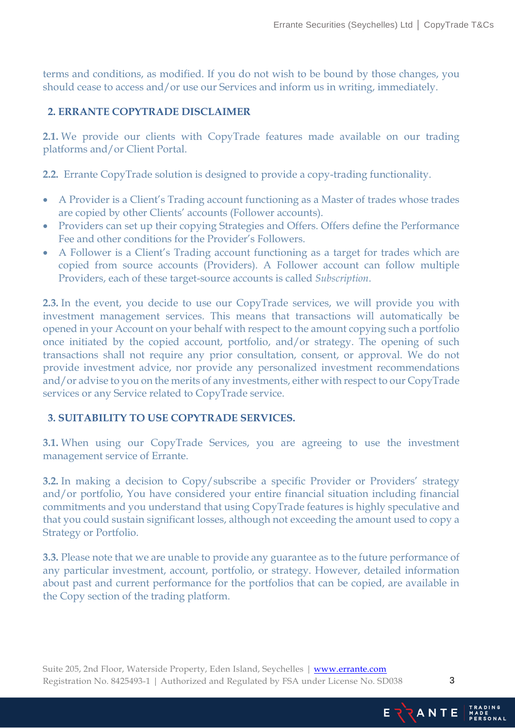terms and conditions, as modified. If you do not wish to be bound by those changes, you should cease to access and/or use our Services and inform us in writing, immediately.

# **2. ERRANTE COPYTRADE DISCLAIMER**

**2.1.** We provide our clients with CopyTrade features made available on our trading platforms and/or Client Portal.

**2.2.** Errante CopyTrade solution is designed to provide a copy-trading functionality.

- A Provider is a Client's Trading account functioning as a Master of trades whose trades are copied by other Clients' accounts (Follower accounts).
- Providers can set up their copying Strategies and Offers. Offers define the Performance Fee and other conditions for the Provider's Followers.
- A Follower is a Client's Trading account functioning as a target for trades which are copied from source accounts (Providers). A Follower account can follow multiple Providers, each of these target-source accounts is called *Subscription*.

**2.3.** In the event, you decide to use our CopyTrade services, we will provide you with investment management services. This means that transactions will automatically be opened in your Account on your behalf with respect to the amount copying such a portfolio once initiated by the copied account, portfolio, and/or strategy. The opening of such transactions shall not require any prior consultation, consent, or approval. We do not provide investment advice, nor provide any personalized investment recommendations and/or advise to you on the merits of any investments, either with respect to our CopyTrade services or any Service related to CopyTrade service.

### **3. SUITABILITY TO USE COPYTRADE SERVICES.**

**3.1.** When using our CopyTrade Services, you are agreeing to use the investment management service of Errante.

**3.2.** In making a decision to Copy/subscribe a specific Provider or Providers' strategy and/or portfolio, You have considered your entire financial situation including financial commitments and you understand that using CopyTrade features is highly speculative and that you could sustain significant losses, although not exceeding the amount used to copy a Strategy or Portfolio.

**3.3.** Please note that we are unable to provide any guarantee as to the future performance of any particular investment, account, portfolio, or strategy. However, detailed information about past and current performance for the portfolios that can be copied, are available in the Copy section of the trading platform.

Suite 205, 2nd Floor, Waterside Property, Eden Island, Seychelles | [www.errante.com](http://www.errante.com/) Registration No. 8425493-1 | Authorized and Regulated by FSA under License No. SD038

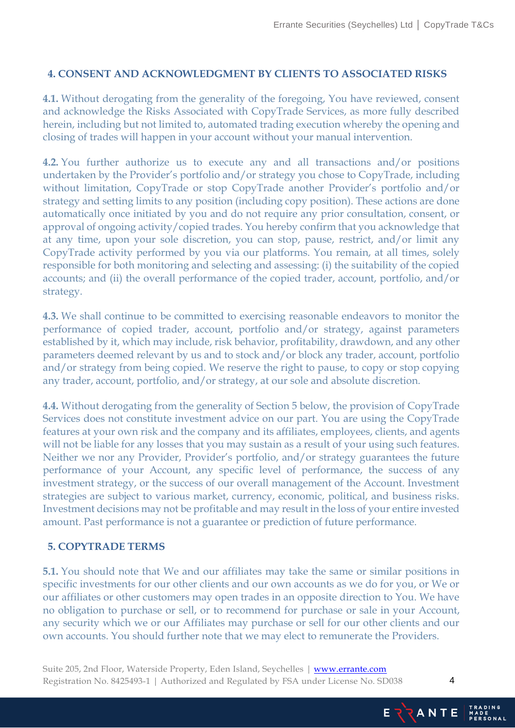### **4. CONSENT AND ACKNOWLEDGMENT BY CLIENTS TO ASSOCIATED RISKS**

**4.1.** Without derogating from the generality of the foregoing, You have reviewed, consent and acknowledge the Risks Associated with CopyTrade Services, as more fully described herein, including but not limited to, automated trading execution whereby the opening and closing of trades will happen in your account without your manual intervention.

**4.2.** You further authorize us to execute any and all transactions and/or positions undertaken by the Provider's portfolio and/or strategy you chose to CopyTrade, including without limitation, CopyTrade or stop CopyTrade another Provider's portfolio and/or strategy and setting limits to any position (including copy position). These actions are done automatically once initiated by you and do not require any prior consultation, consent, or approval of ongoing activity/copied trades. You hereby confirm that you acknowledge that at any time, upon your sole discretion, you can stop, pause, restrict, and/or limit any CopyTrade activity performed by you via our platforms. You remain, at all times, solely responsible for both monitoring and selecting and assessing: (i) the suitability of the copied accounts; and (ii) the overall performance of the copied trader, account, portfolio, and/or strategy.

**4.3.** We shall continue to be committed to exercising reasonable endeavors to monitor the performance of copied trader, account, portfolio and/or strategy, against parameters established by it, which may include, risk behavior, profitability, drawdown, and any other parameters deemed relevant by us and to stock and/or block any trader, account, portfolio and/or strategy from being copied. We reserve the right to pause, to copy or stop copying any trader, account, portfolio, and/or strategy, at our sole and absolute discretion.

**4.4.** Without derogating from the generality of Section 5 below, the provision of CopyTrade Services does not constitute investment advice on our part. You are using the CopyTrade features at your own risk and the company and its affiliates, employees, clients, and agents will not be liable for any losses that you may sustain as a result of your using such features. Neither we nor any Provider, Provider's portfolio, and/or strategy guarantees the future performance of your Account, any specific level of performance, the success of any investment strategy, or the success of our overall management of the Account. Investment strategies are subject to various market, currency, economic, political, and business risks. Investment decisions may not be profitable and may result in the loss of your entire invested amount. Past performance is not a guarantee or prediction of future performance.

### **5. COPYTRADE TERMS**

**5.1.** You should note that We and our affiliates may take the same or similar positions in specific investments for our other clients and our own accounts as we do for you, or We or our affiliates or other customers may open trades in an opposite direction to You. We have no obligation to purchase or sell, or to recommend for purchase or sale in your Account, any security which we or our Affiliates may purchase or sell for our other clients and our own accounts. You should further note that we may elect to remunerate the Providers.

Suite 205, 2nd Floor, Waterside Property, Eden Island, Seychelles | [www.errante.com](http://www.errante.com/) Registration No. 8425493-1 | Authorized and Regulated by FSA under License No. SD038